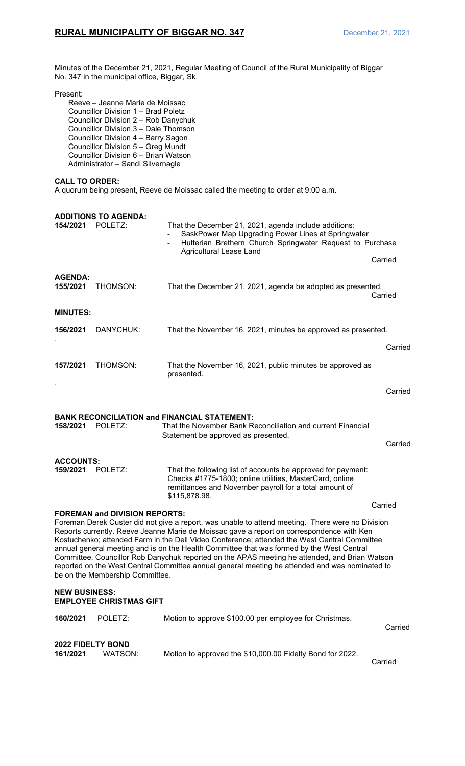Minutes of the December 21, 2021, Regular Meeting of Council of the Rural Municipality of Biggar No. 347 in the municipal office, Biggar, Sk.

## Present:

Reeve – Jeanne Marie de Moissac Councillor Division 1 – Brad Poletz Councillor Division 2 – Rob Danychuk Councillor Division 3 – Dale Thomson Councillor Division 4 – Barry Sagon Councillor Division 5 – Greg Mundt Councillor Division 6 – Brian Watson Administrator – Sandi Silvernagle

## **CALL TO ORDER:**

A quorum being present, Reeve de Moissac called the meeting to order at 9:00 a.m.

| 154/2021                                                                                                                                                                                                                                                                                                                                                                                                                                                                                                                                                                                                                                                                            | <b>ADDITIONS TO AGENDA:</b><br>POLETZ: | That the December 21, 2021, agenda include additions:<br>SaskPower Map Upgrading Power Lines at Springwater<br>Hutterian Brethern Church Springwater Request to Purchase<br><b>Agricultural Lease Land</b> | Carried |  |
|-------------------------------------------------------------------------------------------------------------------------------------------------------------------------------------------------------------------------------------------------------------------------------------------------------------------------------------------------------------------------------------------------------------------------------------------------------------------------------------------------------------------------------------------------------------------------------------------------------------------------------------------------------------------------------------|----------------------------------------|------------------------------------------------------------------------------------------------------------------------------------------------------------------------------------------------------------|---------|--|
| <b>AGENDA:</b><br>155/2021                                                                                                                                                                                                                                                                                                                                                                                                                                                                                                                                                                                                                                                          | THOMSON:                               | That the December 21, 2021, agenda be adopted as presented.                                                                                                                                                | Carried |  |
| <b>MINUTES:</b>                                                                                                                                                                                                                                                                                                                                                                                                                                                                                                                                                                                                                                                                     |                                        |                                                                                                                                                                                                            |         |  |
| 156/2021                                                                                                                                                                                                                                                                                                                                                                                                                                                                                                                                                                                                                                                                            | DANYCHUK:                              | That the November 16, 2021, minutes be approved as presented.                                                                                                                                              |         |  |
| 157/2021                                                                                                                                                                                                                                                                                                                                                                                                                                                                                                                                                                                                                                                                            | THOMSON:                               | That the November 16, 2021, public minutes be approved as<br>presented.                                                                                                                                    | Carried |  |
|                                                                                                                                                                                                                                                                                                                                                                                                                                                                                                                                                                                                                                                                                     |                                        |                                                                                                                                                                                                            | Carried |  |
| 158/2021                                                                                                                                                                                                                                                                                                                                                                                                                                                                                                                                                                                                                                                                            | POLETZ:                                | <b>BANK RECONCILIATION and FINANCIAL STATEMENT:</b><br>That the November Bank Reconciliation and current Financial<br>Statement be approved as presented.                                                  | Carried |  |
| <b>ACCOUNTS:</b><br>159/2021                                                                                                                                                                                                                                                                                                                                                                                                                                                                                                                                                                                                                                                        | POLETZ:                                | That the following list of accounts be approved for payment:<br>Checks #1775-1800; online utilities, MasterCard, online<br>remittances and November payroll for a total amount of<br>\$115,878.98.         |         |  |
| Carried<br><b>FOREMAN and DIVISION REPORTS:</b><br>Foreman Derek Custer did not give a report, was unable to attend meeting. There were no Division<br>Reports currently. Reeve Jeanne Marie de Moissac gave a report on correspondence with Ken<br>Kostuchenko; attended Farm in the Dell Video Conference; attended the West Central Committee<br>annual general meeting and is on the Health Committee that was formed by the West Central<br>Committee. Councillor Rob Danychuk reported on the APAS meeting he attended, and Brian Watson<br>reported on the West Central Committee annual general meeting he attended and was nominated to<br>be on the Membership Committee. |                                        |                                                                                                                                                                                                            |         |  |
| <b>NEW BUSINESS:</b><br><b>EMPLOYEE CHRISTMAS GIFT</b>                                                                                                                                                                                                                                                                                                                                                                                                                                                                                                                                                                                                                              |                                        |                                                                                                                                                                                                            |         |  |
| 160/2021                                                                                                                                                                                                                                                                                                                                                                                                                                                                                                                                                                                                                                                                            | POLETZ:                                | Motion to approve \$100.00 per employee for Christmas.                                                                                                                                                     | Carried |  |
| <b>2022 FIDELTY BOND</b><br>161/2021                                                                                                                                                                                                                                                                                                                                                                                                                                                                                                                                                                                                                                                | WATSON:                                | Motion to approved the \$10,000.00 Fidelty Bond for 2022.                                                                                                                                                  | Carried |  |